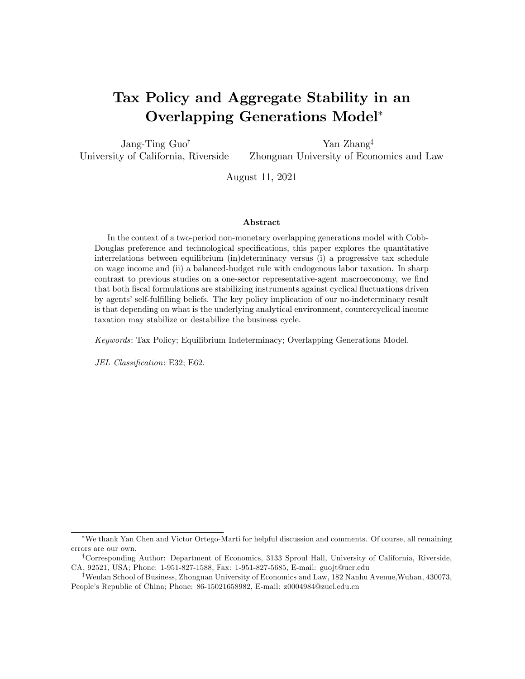# Tax Policy and Aggregate Stability in an Overlapping Generations Model

Jang-Ting  $Guo^{\dagger}$ University of California, Riverside Yan Zhang<sup>‡</sup> Zhongnan University of Economics and Law

August 11, 2021

#### Abstract

In the context of a two-period non-monetary overlapping generations model with Cobb-Douglas preference and technological specifications, this paper explores the quantitative interrelations between equilibrium (in)determinacy versus (i) a progressive tax schedule on wage income and (ii) a balanced-budget rule with endogenous labor taxation. In sharp contrast to previous studies on a one-sector representative-agent macroeconomy, we find that both fiscal formulations are stabilizing instruments against cyclical fluctuations driven by agents' self-fulfilling beliefs. The key policy implication of our no-indeterminacy result is that depending on what is the underlying analytical environment, countercyclical income taxation may stabilize or destabilize the business cycle.

Keywords: Tax Policy; Equilibrium Indeterminacy; Overlapping Generations Model.

JEL Classification: E32; E62.

We thank Yan Chen and Victor Ortego-Marti for helpful discussion and comments. Of course, all remaining errors are our own.

<sup>&</sup>lt;sup>†</sup>Corresponding Author: Department of Economics, 3133 Sproul Hall, University of California, Riverside, CA, 92521, USA; Phone: 1-951-827-1588, Fax: 1-951-827-5685, E-mail: guojt@ucr.edu

<sup>&</sup>lt;sup>‡</sup>Wenlan School of Business, Zhongnan University of Economics and Law, 182 Nanhu Avenue, Wuhan, 430073, Peopleís Republic of China; Phone: 86-15021658982, E-mail: z0004984@zuel.edu.cn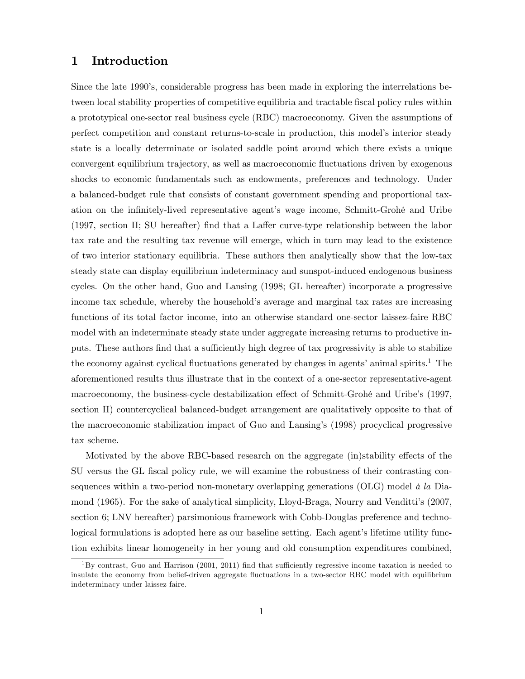## 1 Introduction

Since the late 1990's, considerable progress has been made in exploring the interrelations between local stability properties of competitive equilibria and tractable fiscal policy rules within a prototypical one-sector real business cycle (RBC) macroeconomy. Given the assumptions of perfect competition and constant returns-to-scale in production, this modelís interior steady state is a locally determinate or isolated saddle point around which there exists a unique convergent equilibrium trajectory, as well as macroeconomic fluctuations driven by exogenous shocks to economic fundamentals such as endowments, preferences and technology. Under a balanced-budget rule that consists of constant government spending and proportional taxation on the infinitely-lived representative agent's wage income, Schmitt-Grohé and Uribe  $(1997, \text{ section II}; \text{SU} \text{ hereafter})$  find that a Laffer curve-type relationship between the labor tax rate and the resulting tax revenue will emerge, which in turn may lead to the existence of two interior stationary equilibria. These authors then analytically show that the low-tax steady state can display equilibrium indeterminacy and sunspot-induced endogenous business cycles. On the other hand, Guo and Lansing (1998; GL hereafter) incorporate a progressive income tax schedule, whereby the household's average and marginal tax rates are increasing functions of its total factor income, into an otherwise standard one-sector laissez-faire RBC model with an indeterminate steady state under aggregate increasing returns to productive inputs. These authors find that a sufficiently high degree of tax progressivity is able to stabilize the economy against cyclical fluctuations generated by changes in agents' animal spirits.<sup>1</sup> The aforementioned results thus illustrate that in the context of a one-sector representative-agent macroeconomy, the business-cycle destabilization effect of Schmitt-Grohé and Uribe's (1997, section II) countercyclical balanced-budget arrangement are qualitatively opposite to that of the macroeconomic stabilization impact of Guo and Lansingís (1998) procyclical progressive tax scheme.

Motivated by the above RBC-based research on the aggregate (in)stability effects of the SU versus the GL fiscal policy rule, we will examine the robustness of their contrasting consequences within a two-period non-monetary overlapping generations (OLG) model  $\dot{a}$  la Diamond (1965). For the sake of analytical simplicity, Lloyd-Braga, Nourry and Vendittiís (2007, section 6; LNV hereafter) parsimonious framework with Cobb-Douglas preference and technological formulations is adopted here as our baseline setting. Each agent's lifetime utility function exhibits linear homogeneity in her young and old consumption expenditures combined,

 $1By$  contrast, Guo and Harrison (2001, 2011) find that sufficiently regressive income taxation is needed to insulate the economy from belief-driven aggregate fluctuations in a two-sector RBC model with equilibrium indeterminacy under laissez faire.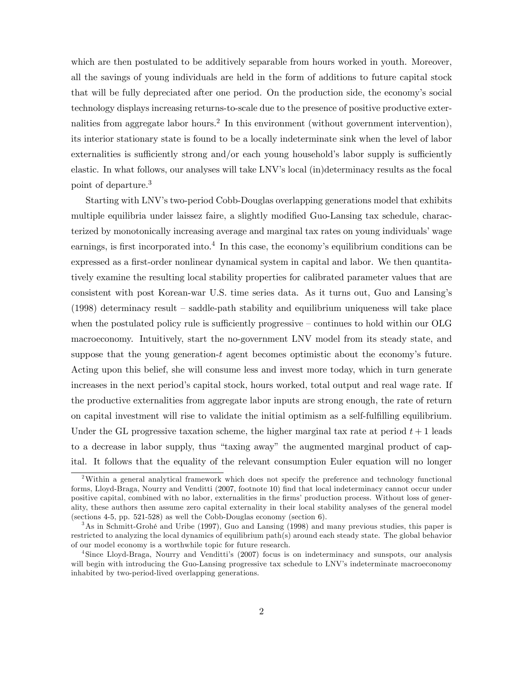which are then postulated to be additively separable from hours worked in youth. Moreover, all the savings of young individuals are held in the form of additions to future capital stock that will be fully depreciated after one period. On the production side, the economyís social technology displays increasing returns-to-scale due to the presence of positive productive externalities from aggregate labor hours.<sup>2</sup> In this environment (without government intervention), its interior stationary state is found to be a locally indeterminate sink when the level of labor externalities is sufficiently strong and/or each young household's labor supply is sufficiently elastic. In what follows, our analyses will take LNV's local (in)determinacy results as the focal point of departure.<sup>3</sup>

Starting with LNV's two-period Cobb-Douglas overlapping generations model that exhibits multiple equilibria under laissez faire, a slightly modified Guo-Lansing tax schedule, characterized by monotonically increasing average and marginal tax rates on young individuals' wage earnings, is first incorporated into.<sup>4</sup> In this case, the economy's equilibrium conditions can be expressed as a first-order nonlinear dynamical system in capital and labor. We then quantitatively examine the resulting local stability properties for calibrated parameter values that are consistent with post Korean-war U.S. time series data. As it turns out, Guo and Lansingís  $(1998)$  determinacy result  $-$  saddle-path stability and equilibrium uniqueness will take place when the postulated policy rule is sufficiently progressive  $\sim$  continues to hold within our OLG macroeconomy. Intuitively, start the no-government LNV model from its steady state, and suppose that the young generation- $t$  agent becomes optimistic about the economy's future. Acting upon this belief, she will consume less and invest more today, which in turn generate increases in the next period's capital stock, hours worked, total output and real wage rate. If the productive externalities from aggregate labor inputs are strong enough, the rate of return on capital investment will rise to validate the initial optimism as a self-fulfilling equilibrium. Under the GL progressive taxation scheme, the higher marginal tax rate at period  $t + 1$  leads to a decrease in labor supply, thus "taxing away" the augmented marginal product of capital. It follows that the equality of the relevant consumption Euler equation will no longer

<sup>&</sup>lt;sup>2</sup>Within a general analytical framework which does not specify the preference and technology functional forms, Lloyd-Braga, Nourry and Venditti (2007, footnote 10) Önd that local indeterminacy cannot occur under positive capital, combined with no labor, externalities in the firms' production process. Without loss of generality, these authors then assume zero capital externality in their local stability analyses of the general model (sections 4-5, pp. 521-528) as well the Cobb-Douglas economy (section 6).

<sup>&</sup>lt;sup>3</sup>As in Schmitt-Grohé and Uribe (1997), Guo and Lansing (1998) and many previous studies, this paper is restricted to analyzing the local dynamics of equilibrium path(s) around each steady state. The global behavior of our model economy is a worthwhile topic for future research.

<sup>4</sup> Since Lloyd-Braga, Nourry and Vendittiís (2007) focus is on indeterminacy and sunspots, our analysis will begin with introducing the Guo-Lansing progressive tax schedule to LNV's indeterminate macroeconomy inhabited by two-period-lived overlapping generations.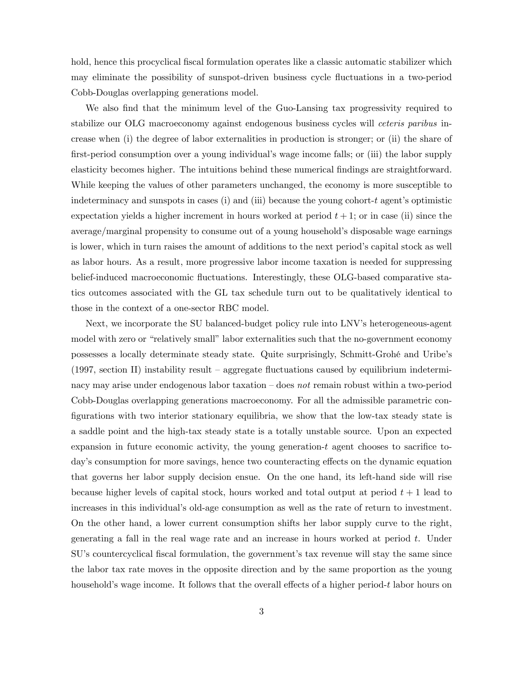hold, hence this procyclical fiscal formulation operates like a classic automatic stabilizer which may eliminate the possibility of sunspot-driven business cycle fluctuations in a two-period Cobb-Douglas overlapping generations model.

We also find that the minimum level of the Guo-Lansing tax progressivity required to stabilize our OLG macroeconomy against endogenous business cycles will ceteris paribus increase when (i) the degree of labor externalities in production is stronger; or (ii) the share of first-period consumption over a young individual's wage income falls; or (iii) the labor supply elasticity becomes higher. The intuitions behind these numerical findings are straightforward. While keeping the values of other parameters unchanged, the economy is more susceptible to indeterminacy and sunspots in cases (i) and (iii) because the young cohort- $t$  agent's optimistic expectation yields a higher increment in hours worked at period  $t + 1$ ; or in case (ii) since the average/marginal propensity to consume out of a young household's disposable wage earnings is lower, which in turn raises the amount of additions to the next period's capital stock as well as labor hours. As a result, more progressive labor income taxation is needed for suppressing belief-induced macroeconomic fluctuations. Interestingly, these OLG-based comparative statics outcomes associated with the GL tax schedule turn out to be qualitatively identical to those in the context of a one-sector RBC model.

Next, we incorporate the SU balanced-budget policy rule into LNV's heterogeneous-agent model with zero or "relatively small" labor externalities such that the no-government economy possesses a locally determinate steady state. Quite surprisingly, Schmitt-GrohÈ and Uribeís  $(1997, \text{ section II})$  instability result – aggregate fluctuations caused by equilibrium indeterminacy may arise under endogenous labor taxation  $-\text{does not remain robust within a two-period}$ Cobb-Douglas overlapping generations macroeconomy. For all the admissible parametric con-Ögurations with two interior stationary equilibria, we show that the low-tax steady state is a saddle point and the high-tax steady state is a totally unstable source. Upon an expected expansion in future economic activity, the young generation-t agent chooses to sacrifice today's consumption for more savings, hence two counteracting effects on the dynamic equation that governs her labor supply decision ensue. On the one hand, its left-hand side will rise because higher levels of capital stock, hours worked and total output at period  $t + 1$  lead to increases in this individual's old-age consumption as well as the rate of return to investment. On the other hand, a lower current consumption shifts her labor supply curve to the right, generating a fall in the real wage rate and an increase in hours worked at period t. Under SU's countercyclical fiscal formulation, the government's tax revenue will stay the same since the labor tax rate moves in the opposite direction and by the same proportion as the young household's wage income. It follows that the overall effects of a higher period- $t$  labor hours on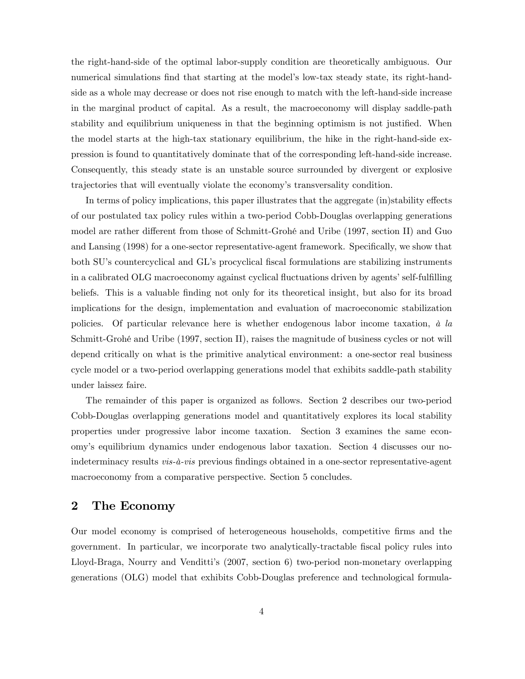the right-hand-side of the optimal labor-supply condition are theoretically ambiguous. Our numerical simulations find that starting at the model's low-tax steady state, its right-handside as a whole may decrease or does not rise enough to match with the left-hand-side increase in the marginal product of capital. As a result, the macroeconomy will display saddle-path stability and equilibrium uniqueness in that the beginning optimism is not justified. When the model starts at the high-tax stationary equilibrium, the hike in the right-hand-side expression is found to quantitatively dominate that of the corresponding left-hand-side increase. Consequently, this steady state is an unstable source surrounded by divergent or explosive trajectories that will eventually violate the economyís transversality condition.

In terms of policy implications, this paper illustrates that the aggregate (in)stability effects of our postulated tax policy rules within a two-period Cobb-Douglas overlapping generations model are rather different from those of Schmitt-Grohé and Uribe (1997, section II) and Guo and Lansing (1998) for a one-sector representative-agent framework. Specifically, we show that both SU's countercyclical and GL's procyclical fiscal formulations are stabilizing instruments in a calibrated OLG macroeconomy against cyclical fluctuations driven by agents' self-fulfilling beliefs. This is a valuable finding not only for its theoretical insight, but also for its broad implications for the design, implementation and evaluation of macroeconomic stabilization policies. Of particular relevance here is whether endogenous labor income taxation,  $\dot{a}$  la Schmitt-Grohé and Uribe (1997, section II), raises the magnitude of business cycles or not will depend critically on what is the primitive analytical environment: a one-sector real business cycle model or a two-period overlapping generations model that exhibits saddle-path stability under laissez faire.

The remainder of this paper is organized as follows. Section 2 describes our two-period Cobb-Douglas overlapping generations model and quantitatively explores its local stability properties under progressive labor income taxation. Section 3 examines the same economyís equilibrium dynamics under endogenous labor taxation. Section 4 discusses our noindeterminacy results *vis-à-vis* previous findings obtained in a one-sector representative-agent macroeconomy from a comparative perspective. Section 5 concludes.

## 2 The Economy

Our model economy is comprised of heterogeneous households, competitive Örms and the government. In particular, we incorporate two analytically-tractable Öscal policy rules into Lloyd-Braga, Nourry and Vendittiís (2007, section 6) two-period non-monetary overlapping generations (OLG) model that exhibits Cobb-Douglas preference and technological formula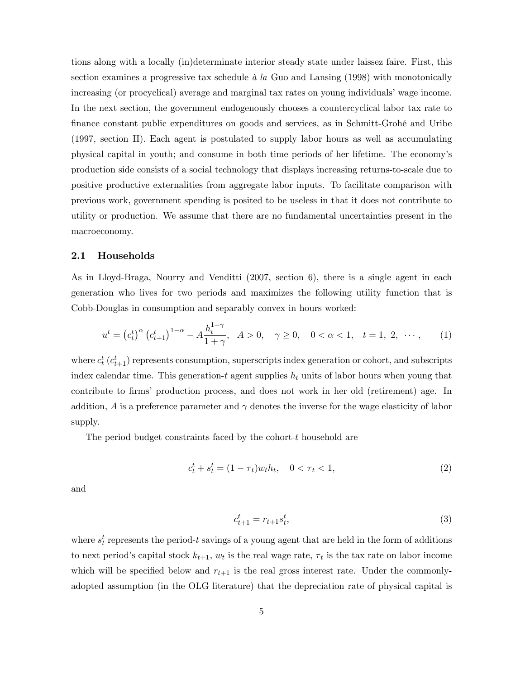tions along with a locally (in)determinate interior steady state under laissez faire. First, this section examines a progressive tax schedule  $\dot{a}$  la Guo and Lansing (1998) with monotonically increasing (or procyclical) average and marginal tax rates on young individuals' wage income. In the next section, the government endogenously chooses a countercyclical labor tax rate to Önance constant public expenditures on goods and services, as in Schmitt-GrohÈ and Uribe (1997, section II). Each agent is postulated to supply labor hours as well as accumulating physical capital in youth; and consume in both time periods of her lifetime. The economyís production side consists of a social technology that displays increasing returns-to-scale due to positive productive externalities from aggregate labor inputs. To facilitate comparison with previous work, government spending is posited to be useless in that it does not contribute to utility or production. We assume that there are no fundamental uncertainties present in the macroeconomy.

#### 2.1 Households

As in Lloyd-Braga, Nourry and Venditti (2007, section 6), there is a single agent in each generation who lives for two periods and maximizes the following utility function that is Cobb-Douglas in consumption and separably convex in hours worked:

$$
u^{t} = (c_{t}^{t})^{\alpha} (c_{t+1}^{t})^{1-\alpha} - A \frac{h_{t}^{1+\gamma}}{1+\gamma}, \quad A > 0, \quad \gamma \ge 0, \quad 0 < \alpha < 1, \quad t = 1, 2, \quad \cdots,
$$
 (1)

where  $c_t^t$  ( $c_{t+1}^t$ ) represents consumption, superscripts index generation or cohort, and subscripts index calendar time. This generation-t agent supplies  $h_t$  units of labor hours when young that contribute to firms' production process, and does not work in her old (retirement) age. In addition, A is a preference parameter and  $\gamma$  denotes the inverse for the wage elasticity of labor supply.

The period budget constraints faced by the cohort-t household are

$$
c_t^t + s_t^t = (1 - \tau_t)w_t h_t, \quad 0 < \tau_t < 1,\tag{2}
$$

and

$$
c_{t+1}^t = r_{t+1} s_t^t,\t\t(3)
$$

where  $s_t^t$  represents the period-t savings of a young agent that are held in the form of additions to next period's capital stock  $k_{t+1}$ ,  $w_t$  is the real wage rate,  $\tau_t$  is the tax rate on labor income which will be specified below and  $r_{t+1}$  is the real gross interest rate. Under the commonlyadopted assumption (in the OLG literature) that the depreciation rate of physical capital is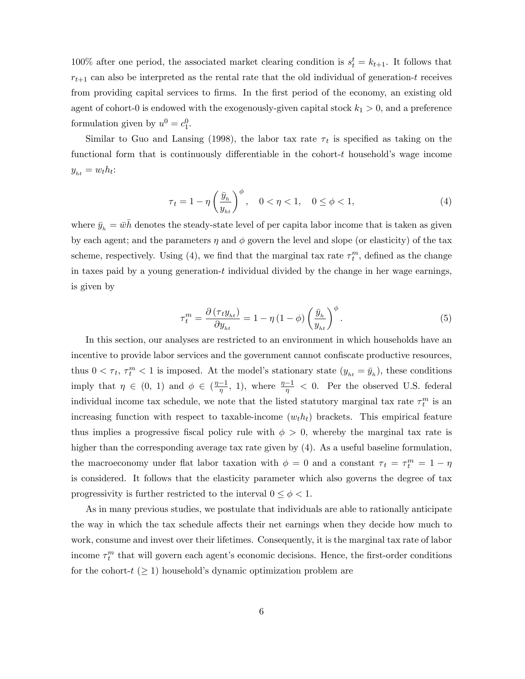100% after one period, the associated market clearing condition is  $s_t^t = k_{t+1}$ . It follows that  $r_{t+1}$  can also be interpreted as the rental rate that the old individual of generation-t receives from providing capital services to firms. In the first period of the economy, an existing old agent of cohort-0 is endowed with the exogenously-given capital stock  $k_1 > 0$ , and a preference formulation given by  $u^0 = c_1^0$ .

Similar to Guo and Lansing (1998), the labor tax rate  $\tau_t$  is specified as taking on the functional form that is continuously differentiable in the cohort- $t$  household's wage income  $y_{ht} = w_t h_t$ :

$$
\tau_t = 1 - \eta \left(\frac{\bar{y}_h}{y_{ht}}\right)^{\phi}, \quad 0 < \eta < 1, \quad 0 \le \phi < 1,\tag{4}
$$

where  $\bar{y}_h = \bar{w}h$  denotes the steady-state level of per capita labor income that is taken as given by each agent; and the parameters  $\eta$  and  $\phi$  govern the level and slope (or elasticity) of the tax scheme, respectively. Using (4), we find that the marginal tax rate  $\tau_t^m$ , defined as the change in taxes paid by a young generation- $t$  individual divided by the change in her wage earnings, is given by

$$
\tau_t^m = \frac{\partial \left(\tau_t y_{ht}\right)}{\partial y_{ht}} = 1 - \eta \left(1 - \phi\right) \left(\frac{\bar{y}_h}{y_{ht}}\right)^{\phi}.
$$
\n<sup>(5)</sup>

In this section, our analyses are restricted to an environment in which households have an incentive to provide labor services and the government cannot confiscate productive resources, thus  $0 < \tau_t$ ,  $\tau_t^m < 1$  is imposed. At the model's stationary state  $(y_{ht} = \bar{y}_h)$ , these conditions imply that  $\eta \in (0, 1)$  and  $\phi \in (\frac{\eta-1}{\eta}, 1)$ , where  $\frac{\eta-1}{\eta} < 0$ . Per the observed U.S. federal individual income tax schedule, we note that the listed statutory marginal tax rate  $\tau_t^m$  is an increasing function with respect to taxable-income  $(w_t h_t)$  brackets. This empirical feature thus implies a progressive fiscal policy rule with  $\phi > 0$ , whereby the marginal tax rate is higher than the corresponding average tax rate given by  $(4)$ . As a useful baseline formulation, the macroeconomy under flat labor taxation with  $\phi = 0$  and a constant  $\tau_t = \tau_t^m = 1 - \eta$ is considered. It follows that the elasticity parameter which also governs the degree of tax progressivity is further restricted to the interval  $0 \leq \phi < 1$ .

As in many previous studies, we postulate that individuals are able to rationally anticipate the way in which the tax schedule affects their net earnings when they decide how much to work, consume and invest over their lifetimes. Consequently, it is the marginal tax rate of labor income  $\tau_t^m$  that will govern each agent's economic decisions. Hence, the first-order conditions for the cohort- $t$  ( $\geq$  1) household's dynamic optimization problem are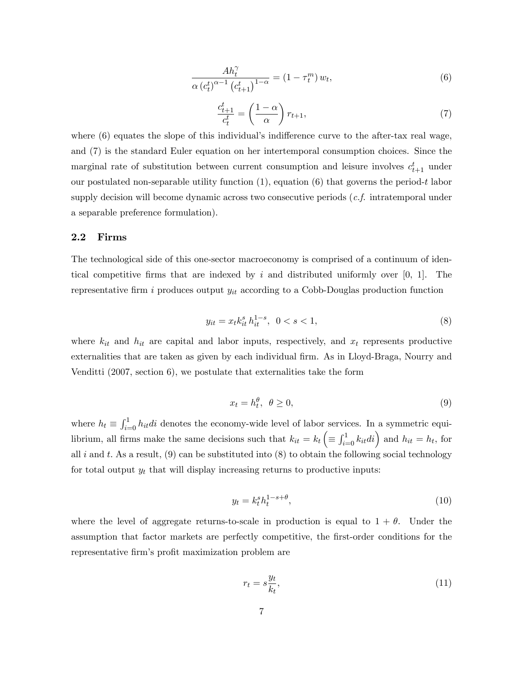$$
\frac{Ah_t^{\gamma}}{\alpha \left(c_t^t\right)^{\alpha-1} \left(c_{t+1}^t\right)^{1-\alpha}} = \left(1 - \tau_t^m\right) w_t,\tag{6}
$$

$$
\frac{c_{t+1}^t}{c_t^t} = \left(\frac{1-\alpha}{\alpha}\right) r_{t+1},\tag{7}
$$

where  $(6)$  equates the slope of this individual's indifference curve to the after-tax real wage, and (7) is the standard Euler equation on her intertemporal consumption choices. Since the marginal rate of substitution between current consumption and leisure involves  $c_{t+1}^t$  under our postulated non-separable utility function (1), equation (6) that governs the period-t labor supply decision will become dynamic across two consecutive periods (*c.f.* intratemporal under a separable preference formulation).

#### 2.2 Firms

The technological side of this one-sector macroeconomy is comprised of a continuum of identical competitive firms that are indexed by i and distributed uniformly over  $[0, 1]$ . The representative firm i produces output  $y_{it}$  according to a Cobb-Douglas production function

$$
y_{it} = x_t k_{it}^s \, h_{it}^{1-s}, \ \ 0 < s < 1,\tag{8}
$$

where  $k_{it}$  and  $h_{it}$  are capital and labor inputs, respectively, and  $x_t$  represents productive externalities that are taken as given by each individual firm. As in Lloyd-Braga, Nourry and Venditti (2007, section 6), we postulate that externalities take the form

$$
x_t = h_t^{\theta}, \ \theta \ge 0,\tag{9}
$$

where  $h_t \equiv \int_{i=0}^1 h_{it}di$  denotes the economy-wide level of labor services. In a symmetric equilibrium, all firms make the same decisions such that  $k_{it} = k_t$  $\equiv \int_{i=0}^{1} k_{it}di$  and  $h_{it} = h_t$ , for all i and t. As a result,  $(9)$  can be substituted into  $(8)$  to obtain the following social technology for total output  $y_t$  that will display increasing returns to productive inputs:

$$
y_t = k_t^s h_t^{1-s+\theta},\tag{10}
$$

where the level of aggregate returns-to-scale in production is equal to  $1 + \theta$ . Under the assumption that factor markets are perfectly competitive, the first-order conditions for the representative firm's profit maximization problem are

$$
r_t = s \frac{y_t}{k_t},\tag{11}
$$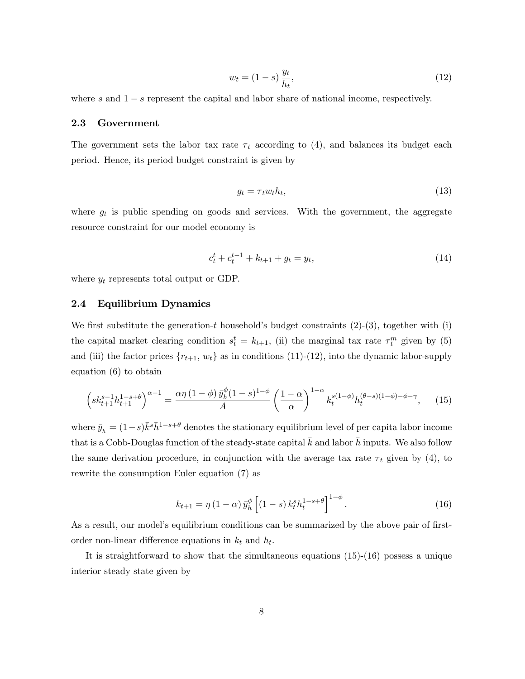$$
w_t = (1 - s) \frac{y_t}{h_t},\tag{12}
$$

where s and  $1 - s$  represent the capital and labor share of national income, respectively.

#### 2.3 Government

The government sets the labor tax rate  $\tau_t$  according to (4), and balances its budget each period. Hence, its period budget constraint is given by

$$
g_t = \tau_t w_t h_t,\tag{13}
$$

where  $g_t$  is public spending on goods and services. With the government, the aggregate resource constraint for our model economy is

$$
c_t^t + c_t^{t-1} + k_{t+1} + g_t = y_t,\t\t(14)
$$

where  $y_t$  represents total output or GDP.

#### 2.4 Equilibrium Dynamics

We first substitute the generation-t household's budget constraints  $(2)-(3)$ , together with (i) the capital market clearing condition  $s_t^t = k_{t+1}$ , (ii) the marginal tax rate  $\tau_t^m$  given by (5) and (iii) the factor prices  ${r_{t+1}, w_t}$  as in conditions (11)-(12), into the dynamic labor-supply equation (6) to obtain

$$
\left(sk_{t+1}^{s-1}h_{t+1}^{1-s+\theta}\right)^{\alpha-1} = \frac{\alpha\eta\left(1-\phi\right)\bar{y}_h^{\phi}(1-s)^{1-\phi}}{A} \left(\frac{1-\alpha}{\alpha}\right)^{1-\alpha}k_t^{s(1-\phi)}h_t^{(\theta-s)(1-\phi)-\phi-\gamma},\tag{15}
$$

where  $\bar{y}_h = (1-s)\bar{k}^s \bar{h}^{1-s+\theta}$  denotes the stationary equilibrium level of per capita labor income that is a Cobb-Douglas function of the steady-state capital  $\bar{k}$  and labor  $\bar{h}$  inputs. We also follow the same derivation procedure, in conjunction with the average tax rate  $\tau_t$  given by (4), to rewrite the consumption Euler equation (7) as

$$
k_{t+1} = \eta (1 - \alpha) \bar{y}_h^{\phi} \left[ (1 - s) k_t^s h_t^{1 - s + \theta} \right]^{1 - \phi}.
$$
 (16)

As a result, our model's equilibrium conditions can be summarized by the above pair of firstorder non-linear difference equations in  $k_t$  and  $h_t$ .

It is straightforward to show that the simultaneous equations  $(15)-(16)$  possess a unique interior steady state given by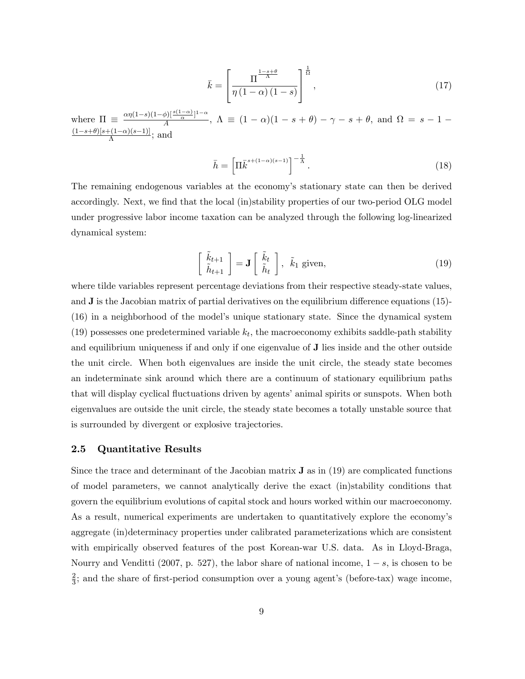$$
\bar{k} = \left[ \frac{\Pi^{\frac{1-s+\theta}{\Lambda}}}{\eta \left(1-\alpha\right)\left(1-s\right)} \right]^{\frac{1}{\Omega}},\tag{17}
$$

where  $\Pi \equiv \frac{\alpha \eta (1-s)(1-\phi) \left[\frac{s(1-\alpha)}{\alpha}\right]^{1-\alpha}}{A}$  $\frac{\beta}{A}$ ,  $\Lambda \equiv (1 - \alpha)(1 - s + \theta) - \gamma - s + \theta$ , and  $\Omega = s - 1 - \theta$  $\frac{(1-s+\theta)[s+(1-\alpha)(s-1)]}{\Lambda}$ ; and

$$
\bar{h} = \left[\Pi \bar{k}^{s + (1-\alpha)(s-1)}\right]^{-\frac{1}{\Lambda}}.
$$
\n(18)

The remaining endogenous variables at the economy's stationary state can then be derived accordingly. Next, we find that the local (in)stability properties of our two-period OLG model under progressive labor income taxation can be analyzed through the following log-linearized dynamical system:

$$
\begin{bmatrix}\n\tilde{k}_{t+1} \\
\tilde{h}_{t+1}\n\end{bmatrix} = \mathbf{J} \begin{bmatrix}\n\tilde{k}_t \\
\tilde{h}_t\n\end{bmatrix}, \ \tilde{k}_1 \text{ given},
$$
\n(19)

where tilde variables represent percentage deviations from their respective steady-state values, and  $J$  is the Jacobian matrix of partial derivatives on the equilibrium difference equations (15)-(16) in a neighborhood of the modelís unique stationary state. Since the dynamical system (19) possesses one predetermined variable  $k_t$ , the macroeconomy exhibits saddle-path stability and equilibrium uniqueness if and only if one eigenvalue of J lies inside and the other outside the unit circle. When both eigenvalues are inside the unit circle, the steady state becomes an indeterminate sink around which there are a continuum of stationary equilibrium paths that will display cyclical fluctuations driven by agents' animal spirits or sunspots. When both eigenvalues are outside the unit circle, the steady state becomes a totally unstable source that is surrounded by divergent or explosive trajectories.

#### 2.5 Quantitative Results

Since the trace and determinant of the Jacobian matrix J as in (19) are complicated functions of model parameters, we cannot analytically derive the exact (in)stability conditions that govern the equilibrium evolutions of capital stock and hours worked within our macroeconomy. As a result, numerical experiments are undertaken to quantitatively explore the economy's aggregate (in)determinacy properties under calibrated parameterizations which are consistent with empirically observed features of the post Korean-war U.S. data. As in Lloyd-Braga, Nourry and Venditti (2007, p. 527), the labor share of national income,  $1 - s$ , is chosen to be 2  $\frac{2}{3}$ ; and the share of first-period consumption over a young agent's (before-tax) wage income,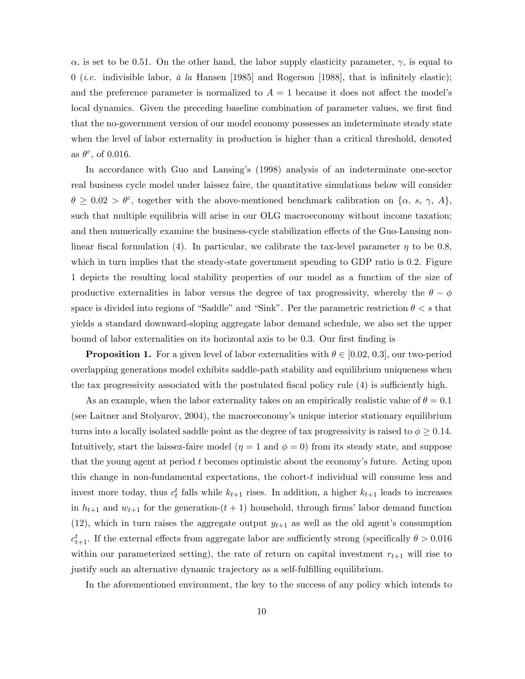$\alpha$ , is set to be 0.51. On the other hand, the labor supply elasticity parameter,  $\gamma$ , is equal to 0 (*i.e.* indivisible labor,  $\dot{a}$  la Hansen [1985] and Rogerson [1988], that is infinitely elastic); and the preference parameter is normalized to  $A = 1$  because it does not affect the model's local dynamics. Given the preceding baseline combination of parameter values, we first find that the no-government version of our model economy possesses an indeterminate steady state when the level of labor externality in production is higher than a critical threshold, denoted as  $\theta^c$ , of 0.016.

In accordance with Guo and Lansingís (1998) analysis of an indeterminate one-sector real business cycle model under laissez faire, the quantitative simulations below will consider  $\theta \geq 0.02 > \theta^c$ , together with the above-mentioned benchmark calibration on  $\{\alpha, s, \gamma, A\}$ , such that multiple equilibria will arise in our OLG macroeconomy without income taxation; and then numerically examine the business-cycle stabilization effects of the Guo-Lansing nonlinear fiscal formulation (4). In particular, we calibrate the tax-level parameter  $\eta$  to be 0.8, which in turn implies that the steady-state government spending to GDP ratio is 0.2. Figure 1 depicts the resulting local stability properties of our model as a function of the size of productive externalities in labor versus the degree of tax progressivity, whereby the  $\theta - \phi$ space is divided into regions of "Saddle" and "Sink". Per the parametric restriction  $\theta < s$  that yields a standard downward-sloping aggregate labor demand schedule, we also set the upper bound of labor externalities on its horizontal axis to be 0.3. Our first finding is

**Proposition 1.** For a given level of labor externalities with  $\theta \in [0.02, 0.3]$ , our two-period overlapping generations model exhibits saddle-path stability and equilibrium uniqueness when the tax progressivity associated with the postulated fiscal policy rule  $(4)$  is sufficiently high.

As an example, when the labor externality takes on an empirically realistic value of  $\theta = 0.1$ (see Laitner and Stolyarov, 2004), the macroeconomy's unique interior stationary equilibrium turns into a locally isolated saddle point as the degree of tax progressivity is raised to  $\phi \geq 0.14$ . Intuitively, start the laissez-faire model  $(\eta = 1 \text{ and } \phi = 0)$  from its steady state, and suppose that the young agent at period  $t$  becomes optimistic about the economy's future. Acting upon this change in non-fundamental expectations, the cohort- $t$  individual will consume less and invest more today, thus  $c_t^t$  falls while  $k_{t+1}$  rises. In addition, a higher  $k_{t+1}$  leads to increases in  $h_{t+1}$  and  $w_{t+1}$  for the generation- $(t+1)$  household, through firms' labor demand function  $(12)$ , which in turn raises the aggregate output  $y_{t+1}$  as well as the old agent's consumption  $c_{t+1}^t$ . If the external effects from aggregate labor are sufficiently strong (specifically  $\theta > 0.016$ within our parameterized setting), the rate of return on capital investment  $r_{t+1}$  will rise to justify such an alternative dynamic trajectory as a self-fulfilling equilibrium.

In the aforementioned environment, the key to the success of any policy which intends to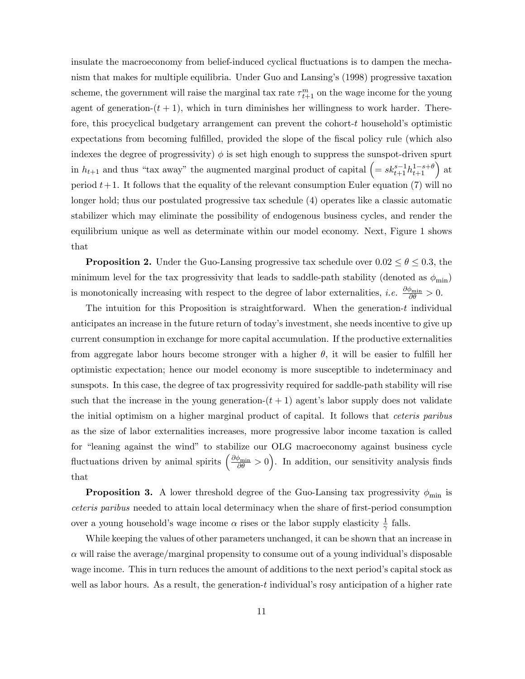insulate the macroeconomy from belief-induced cyclical áuctuations is to dampen the mechanism that makes for multiple equilibria. Under Guo and Lansing's (1998) progressive taxation scheme, the government will raise the marginal tax rate  $\tau^m_{t+1}$  on the wage income for the young agent of generation- $(t + 1)$ , which in turn diminishes her willingness to work harder. Therefore, this procyclical budgetary arrangement can prevent the cohort- $t$  household's optimistic expectations from becoming fulfilled, provided the slope of the fiscal policy rule (which also indexes the degree of progressivity)  $\phi$  is set high enough to suppress the sunspot-driven spurt in  $h_{t+1}$  and thus "tax away" the augmented marginal product of capital  $\left(=sk_{t+1}^{s-1}h_{t+1}^{1-s+\theta}\right)$  at period  $t+1$ . It follows that the equality of the relevant consumption Euler equation (7) will no longer hold; thus our postulated progressive tax schedule (4) operates like a classic automatic stabilizer which may eliminate the possibility of endogenous business cycles, and render the equilibrium unique as well as determinate within our model economy. Next, Figure 1 shows that

**Proposition 2.** Under the Guo-Lansing progressive tax schedule over  $0.02 \le \theta \le 0.3$ , the minimum level for the tax progressivity that leads to saddle-path stability (denoted as  $\phi_{\rm min}$ ) is monotonically increasing with respect to the degree of labor externalities, *i.e.*  $\frac{\partial \phi_{\min}}{\partial \theta} > 0$ .

The intuition for this Proposition is straightforward. When the generation- $t$  individual anticipates an increase in the future return of today's investment, she needs incentive to give up current consumption in exchange for more capital accumulation. If the productive externalities from aggregate labor hours become stronger with a higher  $\theta$ , it will be easier to fulfill her optimistic expectation; hence our model economy is more susceptible to indeterminacy and sunspots. In this case, the degree of tax progressivity required for saddle-path stability will rise such that the increase in the young generation- $(t + 1)$  agent's labor supply does not validate the initial optimism on a higher marginal product of capital. It follows that ceteris paribus as the size of labor externalities increases, more progressive labor income taxation is called for "leaning against the wind" to stabilize our OLG macroeconomy against business cycle fluctuations driven by animal spirits  $\left(\frac{\partial \phi_{\min}}{\partial \theta} > 0\right)$ . In addition, our sensitivity analysis finds that

**Proposition 3.** A lower threshold degree of the Guo-Lansing tax progressivity  $\phi_{\text{min}}$  is ceteris paribus needed to attain local determinacy when the share of first-period consumption over a young household's wage income  $\alpha$  rises or the labor supply elasticity  $\frac{1}{\gamma}$  falls.

While keeping the values of other parameters unchanged, it can be shown that an increase in  $\alpha$  will raise the average/marginal propensity to consume out of a young individual's disposable wage income. This in turn reduces the amount of additions to the next period's capital stock as well as labor hours. As a result, the generation-t individual's rosy anticipation of a higher rate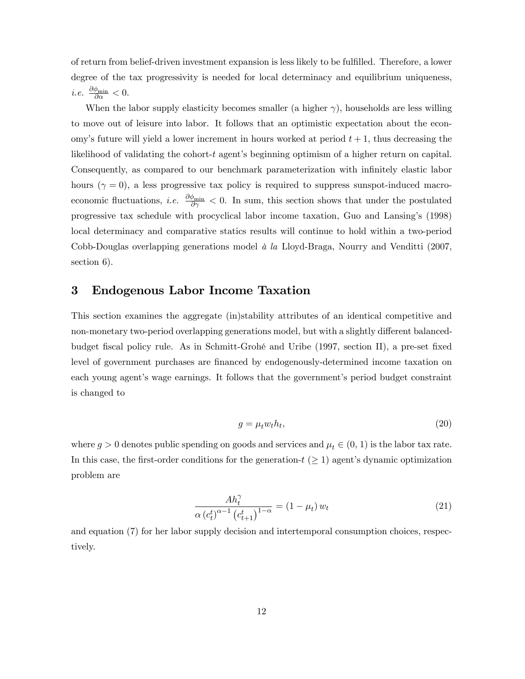of return from belief-driven investment expansion is less likely to be fulfilled. Therefore, a lower degree of the tax progressivity is needed for local determinacy and equilibrium uniqueness, *i.e.*  $\frac{\partial \phi_{\min}}{\partial \alpha} < 0$ .

When the labor supply elasticity becomes smaller (a higher  $\gamma$ ), households are less willing to move out of leisure into labor. It follows that an optimistic expectation about the economy's future will yield a lower increment in hours worked at period  $t + 1$ , thus decreasing the likelihood of validating the cohort- $t$  agent's beginning optimism of a higher return on capital. Consequently, as compared to our benchmark parameterization with infinitely elastic labor hours  $(\gamma = 0)$ , a less progressive tax policy is required to suppress sunspot-induced macroeconomic fluctuations, *i.e.*  $\frac{\partial \phi_{\min}}{\partial \gamma}$  < 0. In sum, this section shows that under the postulated progressive tax schedule with procyclical labor income taxation, Guo and Lansing's (1998) local determinacy and comparative statics results will continue to hold within a two-period Cobb-Douglas overlapping generations model  $\dot{a}$  la Lloyd-Braga, Nourry and Venditti (2007, section 6).

## 3 Endogenous Labor Income Taxation

This section examines the aggregate (in)stability attributes of an identical competitive and non-monetary two-period overlapping generations model, but with a slightly different balancedbudget fiscal policy rule. As in Schmitt-Grohé and Uribe (1997, section II), a pre-set fixed level of government purchases are financed by endogenously-determined income taxation on each young agent's wage earnings. It follows that the government's period budget constraint is changed to

$$
g = \mu_t w_t h_t,\tag{20}
$$

where  $g > 0$  denotes public spending on goods and services and  $\mu_t \in (0, 1)$  is the labor tax rate. In this case, the first-order conditions for the generation- $t \geq 1$ ) agent's dynamic optimization problem are

$$
\frac{Ah_t^{\gamma}}{\alpha (c_t^t)^{\alpha - 1} (c_{t+1}^t)^{1 - \alpha}} = (1 - \mu_t) w_t
$$
\n(21)

and equation (7) for her labor supply decision and intertemporal consumption choices, respectively.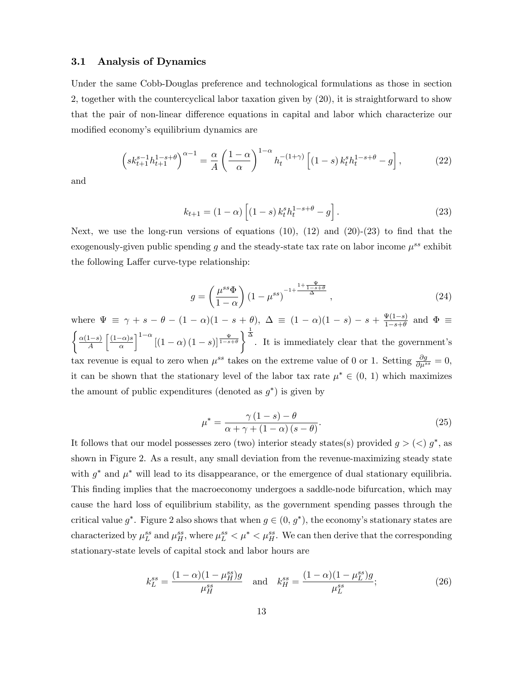#### 3.1 Analysis of Dynamics

Under the same Cobb-Douglas preference and technological formulations as those in section 2, together with the countercyclical labor taxation given by (20), it is straightforward to show that the pair of non-linear difference equations in capital and labor which characterize our modified economy's equilibrium dynamics are

$$
\left(sk_{t+1}^{s-1}h_{t+1}^{1-s+\theta}\right)^{\alpha-1} = \frac{\alpha}{A} \left(\frac{1-\alpha}{\alpha}\right)^{1-\alpha} h_t^{-(1+\gamma)} \left[ (1-s) k_t^s h_t^{1-s+\theta} - g \right],\tag{22}
$$

and

$$
k_{t+1} = (1 - \alpha) \left[ (1 - s) k_t^s h_t^{1 - s + \theta} - g \right].
$$
 (23)

Next, we use the long-run versions of equations  $(10)$ ,  $(12)$  and  $(20)-(23)$  to find that the exogenously-given public spending g and the steady-state tax rate on labor income  $\mu^{ss}$  exhibit the following Laffer curve-type relationship:

$$
g = \left(\frac{\mu^{ss}\Phi}{1-\alpha}\right) \left(1-\mu^{ss}\right)^{-1+\frac{1+\frac{\Psi}{1-s+\theta}}{\Delta}},\tag{24}
$$

where  $\Psi \equiv \gamma + s - \theta - (1 - \alpha)(1 - s + \theta), \ \Delta \equiv (1 - \alpha)(1 - s) - s + \frac{\Psi(1 - s)}{1 - s + \theta}$  $\frac{\Psi(1-s)}{1-s+\theta}$  and  $\Phi \equiv$  $\left\{\frac{\alpha(1-s)}{A}\right.$  $\left\lceil \frac{(1-\alpha)s}{\alpha} \right\rceil$  $\int_0^{1-\alpha} \left[ (1-\alpha) (1-s) \right]_0^{\frac{\Psi}{1-s+\theta}}$  $\left\{\begin{matrix} \frac{1}{\Delta} \\ 1 \end{matrix}\right\}$ . It is immediately clear that the government's tax revenue is equal to zero when  $\mu^{ss}$  takes on the extreme value of 0 or 1. Setting  $\frac{\partial g}{\partial \mu^{ss}} = 0$ , it can be shown that the stationary level of the labor tax rate  $\mu^* \in (0, 1)$  which maximizes the amount of public expenditures (denoted as  $g^*$ ) is given by

$$
\mu^* = \frac{\gamma (1 - s) - \theta}{\alpha + \gamma + (1 - \alpha) (s - \theta)}.
$$
\n(25)

It follows that our model possesses zero (two) interior steady states(s) provided  $g > (0)$  g<sup>\*</sup>, as shown in Figure 2. As a result, any small deviation from the revenue-maximizing steady state with  $g^*$  and  $\mu^*$  will lead to its disappearance, or the emergence of dual stationary equilibria. This finding implies that the macroeconomy undergoes a saddle-node bifurcation, which may cause the hard loss of equilibrium stability, as the government spending passes through the critical value  $g^*$ . Figure 2 also shows that when  $g \in (0, g^*)$ , the economy's stationary states are characterized by  $\mu_L^{ss}$  and  $\mu_H^{ss}$ , where  $\mu_L^{ss} < \mu^* < \mu_H^{ss}$ . We can then derive that the corresponding stationary-state levels of capital stock and labor hours are

$$
k_L^{ss} = \frac{(1 - \alpha)(1 - \mu_H^{ss})g}{\mu_H^{ss}} \quad \text{and} \quad k_H^{ss} = \frac{(1 - \alpha)(1 - \mu_L^{ss})g}{\mu_L^{ss}}; \tag{26}
$$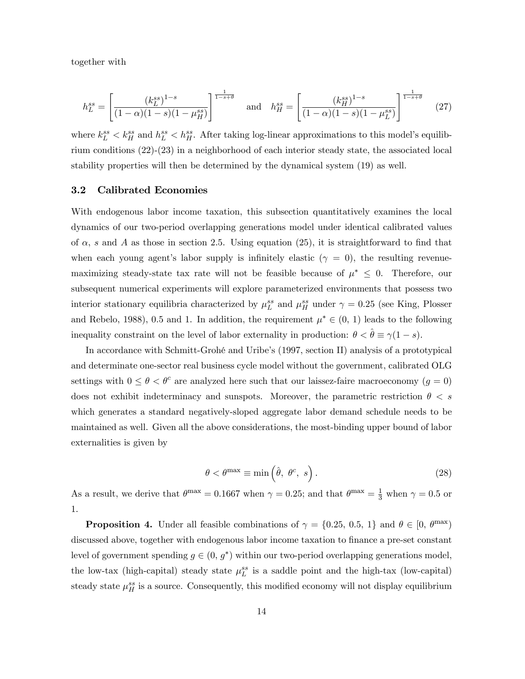together with

$$
h_L^{ss} = \left[ \frac{(k_L^{ss})^{1-s}}{(1-\alpha)(1-s)(1-\mu_H^{ss})} \right]^{\frac{1}{1-s+\theta}} \quad \text{and} \quad h_H^{ss} = \left[ \frac{(k_H^{ss})^{1-s}}{(1-\alpha)(1-s)(1-\mu_L^{ss})} \right]^{\frac{1}{1-s+\theta}} \tag{27}
$$

where  $k_L^{ss} < k_H^{ss}$  and  $h_L^{ss} < h_H^{ss}$ . After taking log-linear approximations to this model's equilibrium conditions (22)-(23) in a neighborhood of each interior steady state, the associated local stability properties will then be determined by the dynamical system (19) as well.

#### 3.2 Calibrated Economies

With endogenous labor income taxation, this subsection quantitatively examines the local dynamics of our two-period overlapping generations model under identical calibrated values of  $\alpha$ , s and A as those in section 2.5. Using equation (25), it is straightforward to find that when each young agent's labor supply is infinitely elastic  $(\gamma = 0)$ , the resulting revenuemaximizing steady-state tax rate will not be feasible because of  $\mu^* \leq 0$ . Therefore, our subsequent numerical experiments will explore parameterized environments that possess two interior stationary equilibria characterized by  $\mu_L^{ss}$  and  $\mu_H^{ss}$  under  $\gamma = 0.25$  (see King, Plosser and Rebelo, 1988), 0.5 and 1. In addition, the requirement  $\mu^* \in (0, 1)$  leads to the following inequality constraint on the level of labor externality in production:  $\theta < \hat{\theta} \equiv \gamma(1-s)$ .

In accordance with Schmitt-Grohé and Uribe's (1997, section II) analysis of a prototypical and determinate one-sector real business cycle model without the government, calibrated OLG settings with  $0 \le \theta < \theta^c$  are analyzed here such that our laissez-faire macroeconomy  $(g = 0)$ does not exhibit indeterminacy and sunspots. Moreover, the parametric restriction  $\theta < s$ which generates a standard negatively-sloped aggregate labor demand schedule needs to be maintained as well. Given all the above considerations, the most-binding upper bound of labor externalities is given by

$$
\theta < \theta^{\max} \equiv \min\left(\hat{\theta}, \ \theta^c, \ s\right). \tag{28}
$$

As a result, we derive that  $\theta^{\max} = 0.1667$  when  $\gamma = 0.25$ ; and that  $\theta^{\max} = \frac{1}{3}$  when  $\gamma = 0.5$  or 1.

**Proposition 4.** Under all feasible combinations of  $\gamma = \{0.25, 0.5, 1\}$  and  $\theta \in [0, \theta^{\max})$ discussed above, together with endogenous labor income taxation to finance a pre-set constant level of government spending  $g \in (0, g^*)$  within our two-period overlapping generations model, the low-tax (high-capital) steady state  $\mu_L^{ss}$  is a saddle point and the high-tax (low-capital) steady state  $\mu_H^{ss}$  is a source. Consequently, this modified economy will not display equilibrium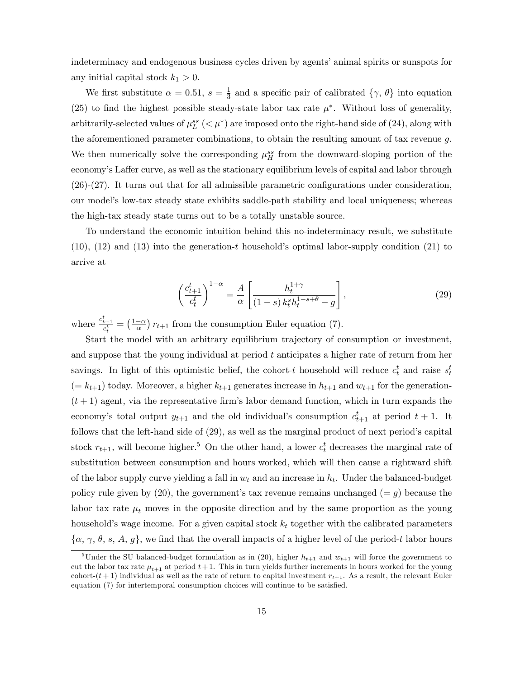indeterminacy and endogenous business cycles driven by agents' animal spirits or sunspots for any initial capital stock  $k_1 > 0$ .

We first substitute  $\alpha = 0.51, s = \frac{1}{3}$  $\frac{1}{3}$  and a specific pair of calibrated  $\{\gamma, \theta\}$  into equation (25) to find the highest possible steady-state labor tax rate  $\mu^*$ . Without loss of generality, arbitrarily-selected values of  $\mu_L^{ss}$  ( $\lt \mu^*$ ) are imposed onto the right-hand side of (24), along with the aforementioned parameter combinations, to obtain the resulting amount of tax revenue g. We then numerically solve the corresponding  $\mu_H^{ss}$  from the downward-sloping portion of the economy's Laffer curve, as well as the stationary equilibrium levels of capital and labor through  $(26)-(27)$ . It turns out that for all admissible parametric configurations under consideration, our modelís low-tax steady state exhibits saddle-path stability and local uniqueness; whereas the high-tax steady state turns out to be a totally unstable source.

To understand the economic intuition behind this no-indeterminacy result, we substitute  $(10)$ ,  $(12)$  and  $(13)$  into the generation-t household's optimal labor-supply condition  $(21)$  to arrive at

$$
\left(\frac{c_{t+1}^t}{c_t^t}\right)^{1-\alpha} = \frac{A}{\alpha} \left[ \frac{h_t^{1+\gamma}}{(1-s) \, k_t^s h_t^{1-s+\theta} - g} \right],\tag{29}
$$

where  $\frac{c_{t+1}^t}{c_t^t} = \left(\frac{1-\alpha}{\alpha}\right) r_{t+1}$  from the consumption Euler equation (7).

Start the model with an arbitrary equilibrium trajectory of consumption or investment, and suppose that the young individual at period t anticipates a higher rate of return from her savings. In light of this optimistic belief, the cohort-t household will reduce  $c_t^t$  and raise  $s_t^t$  $(= k_{t+1})$  today. Moreover, a higher  $k_{t+1}$  generates increase in  $h_{t+1}$  and  $w_{t+1}$  for the generation- $(t+1)$  agent, via the representative firm's labor demand function, which in turn expands the economy's total output  $y_{t+1}$  and the old individual's consumption  $c_{t+1}^t$  at period  $t+1$ . It follows that the left-hand side of  $(29)$ , as well as the marginal product of next period's capital stock  $r_{t+1}$ , will become higher.<sup>5</sup> On the other hand, a lower  $c_t^t$  decreases the marginal rate of substitution between consumption and hours worked, which will then cause a rightward shift of the labor supply curve yielding a fall in  $w_t$  and an increase in  $h_t$ . Under the balanced-budget policy rule given by  $(20)$ , the government's tax revenue remains unchanged  $(= g)$  because the labor tax rate  $\mu_t$  moves in the opposite direction and by the same proportion as the young household's wage income. For a given capital stock  $k_t$  together with the calibrated parameters  $\{\alpha, \gamma, \theta, s, A, g\}$ , we find that the overall impacts of a higher level of the period-t labor hours

<sup>&</sup>lt;sup>5</sup>Under the SU balanced-budget formulation as in (20), higher  $h_{t+1}$  and  $w_{t+1}$  will force the government to cut the labor tax rate  $\mu_{t+1}$  at period  $t+1$ . This in turn yields further increments in hours worked for the young cohort- $(t+1)$  individual as well as the rate of return to capital investment  $r_{t+1}$ . As a result, the relevant Euler equation  $(7)$  for intertemporal consumption choices will continue to be satisfied.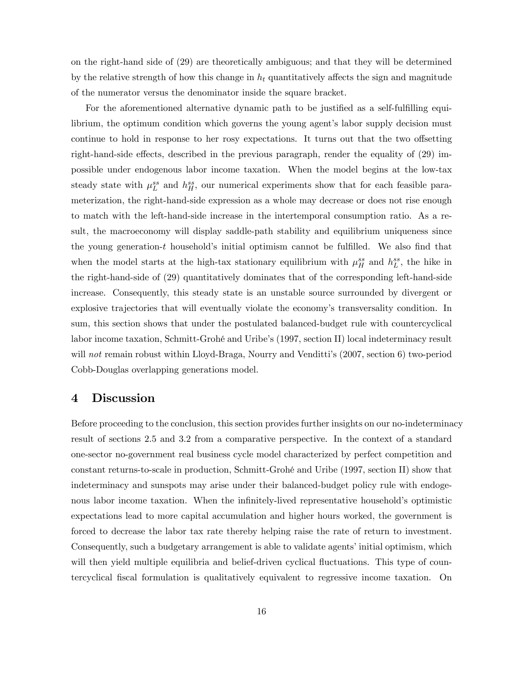on the right-hand side of (29) are theoretically ambiguous; and that they will be determined by the relative strength of how this change in  $h_t$  quantitatively affects the sign and magnitude of the numerator versus the denominator inside the square bracket.

For the aforementioned alternative dynamic path to be justified as a self-fulfilling equilibrium, the optimum condition which governs the young agent's labor supply decision must continue to hold in response to her rosy expectations. It turns out that the two offsetting right-hand-side effects, described in the previous paragraph, render the equality of  $(29)$  impossible under endogenous labor income taxation. When the model begins at the low-tax steady state with  $\mu_L^{ss}$  and  $h_H^{ss}$ , our numerical experiments show that for each feasible parameterization, the right-hand-side expression as a whole may decrease or does not rise enough to match with the left-hand-side increase in the intertemporal consumption ratio. As a result, the macroeconomy will display saddle-path stability and equilibrium uniqueness since the young generation-t household's initial optimism cannot be fulfilled. We also find that when the model starts at the high-tax stationary equilibrium with  $\mu_H^{ss}$  and  $h_L^{ss}$ , the hike in the right-hand-side of (29) quantitatively dominates that of the corresponding left-hand-side increase. Consequently, this steady state is an unstable source surrounded by divergent or explosive trajectories that will eventually violate the economy's transversality condition. In sum, this section shows that under the postulated balanced-budget rule with countercyclical labor income taxation, Schmitt-Grohé and Uribe's (1997, section II) local indeterminacy result will not remain robust within Lloyd-Braga, Nourry and Venditti's (2007, section 6) two-period Cobb-Douglas overlapping generations model.

### 4 Discussion

Before proceeding to the conclusion, this section provides further insights on our no-indeterminacy result of sections 2.5 and 3.2 from a comparative perspective. In the context of a standard one-sector no-government real business cycle model characterized by perfect competition and constant returns-to-scale in production, Schmitt-GrohÈ and Uribe (1997, section II) show that indeterminacy and sunspots may arise under their balanced-budget policy rule with endogenous labor income taxation. When the infinitely-lived representative household's optimistic expectations lead to more capital accumulation and higher hours worked, the government is forced to decrease the labor tax rate thereby helping raise the rate of return to investment. Consequently, such a budgetary arrangement is able to validate agents' initial optimism, which will then yield multiple equilibria and belief-driven cyclical fluctuations. This type of countercyclical Öscal formulation is qualitatively equivalent to regressive income taxation. On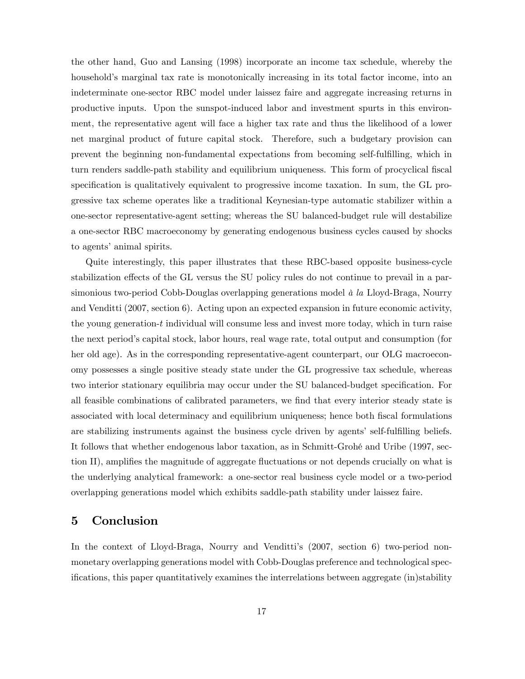the other hand, Guo and Lansing (1998) incorporate an income tax schedule, whereby the household's marginal tax rate is monotonically increasing in its total factor income, into an indeterminate one-sector RBC model under laissez faire and aggregate increasing returns in productive inputs. Upon the sunspot-induced labor and investment spurts in this environment, the representative agent will face a higher tax rate and thus the likelihood of a lower net marginal product of future capital stock. Therefore, such a budgetary provision can prevent the beginning non-fundamental expectations from becoming self-fulÖlling, which in turn renders saddle-path stability and equilibrium uniqueness. This form of procyclical fiscal specification is qualitatively equivalent to progressive income taxation. In sum, the GL progressive tax scheme operates like a traditional Keynesian-type automatic stabilizer within a one-sector representative-agent setting; whereas the SU balanced-budget rule will destabilize a one-sector RBC macroeconomy by generating endogenous business cycles caused by shocks to agents' animal spirits.

Quite interestingly, this paper illustrates that these RBC-based opposite business-cycle stabilization effects of the GL versus the SU policy rules do not continue to prevail in a parsimonious two-period Cobb-Douglas overlapping generations model  $\dot{a}$  la Lloyd-Braga, Nourry and Venditti (2007, section 6). Acting upon an expected expansion in future economic activity, the young generation- $t$  individual will consume less and invest more today, which in turn raise the next periodís capital stock, labor hours, real wage rate, total output and consumption (for her old age). As in the corresponding representative-agent counterpart, our OLG macroeconomy possesses a single positive steady state under the GL progressive tax schedule, whereas two interior stationary equilibria may occur under the SU balanced-budget specification. For all feasible combinations of calibrated parameters, we find that every interior steady state is associated with local determinacy and equilibrium uniqueness; hence both fiscal formulations are stabilizing instruments against the business cycle driven by agents' self-fulfilling beliefs. It follows that whether endogenous labor taxation, as in Schmitt-Grohé and Uribe (1997, section II), amplifies the magnitude of aggregate fluctuations or not depends crucially on what is the underlying analytical framework: a one-sector real business cycle model or a two-period overlapping generations model which exhibits saddle-path stability under laissez faire.

## 5 Conclusion

In the context of Lloyd-Braga, Nourry and Venditti's (2007, section 6) two-period nonmonetary overlapping generations model with Cobb-Douglas preference and technological specifications, this paper quantitatively examines the interrelations between aggregate (in)stability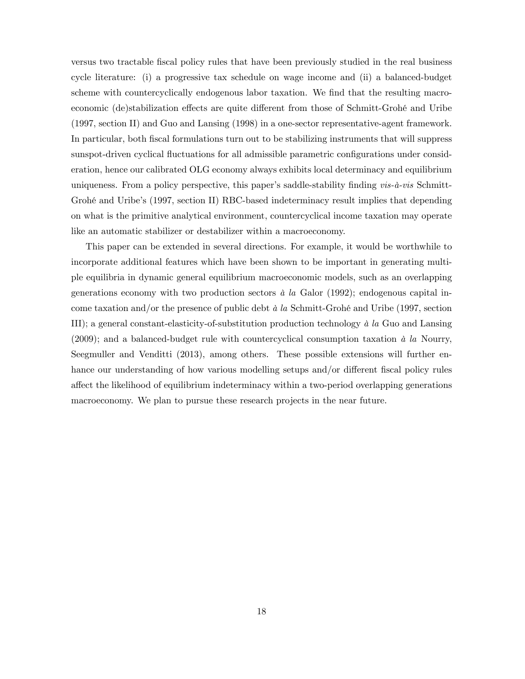versus two tractable Öscal policy rules that have been previously studied in the real business cycle literature: (i) a progressive tax schedule on wage income and (ii) a balanced-budget scheme with countercyclically endogenous labor taxation. We find that the resulting macroeconomic (de)stabilization effects are quite different from those of Schmitt-Grohé and Uribe (1997, section II) and Guo and Lansing (1998) in a one-sector representative-agent framework. In particular, both fiscal formulations turn out to be stabilizing instruments that will suppress sunspot-driven cyclical fluctuations for all admissible parametric configurations under consideration, hence our calibrated OLG economy always exhibits local determinacy and equilibrium uniqueness. From a policy perspective, this paper's saddle-stability finding  $vis-\hat{a}-vis$  Schmitt-Grohé and Uribe's (1997, section II) RBC-based indeterminacy result implies that depending on what is the primitive analytical environment, countercyclical income taxation may operate like an automatic stabilizer or destabilizer within a macroeconomy.

This paper can be extended in several directions. For example, it would be worthwhile to incorporate additional features which have been shown to be important in generating multiple equilibria in dynamic general equilibrium macroeconomic models, such as an overlapping generations economy with two production sectors  $\dot{a}$  la Galor (1992); endogenous capital income taxation and/or the presence of public debt  $\dot{a}$  la Schmitt-Grohé and Uribe (1997, section III); a general constant-elasticity-of-substitution production technology  $\dot{a}$  la Guo and Lansing (2009); and a balanced-budget rule with countercyclical consumption taxation  $\dot{a}$  la Nourry, Seegmuller and Venditti (2013), among others. These possible extensions will further enhance our understanding of how various modelling setups and/or different fiscal policy rules a§ect the likelihood of equilibrium indeterminacy within a two-period overlapping generations macroeconomy. We plan to pursue these research projects in the near future.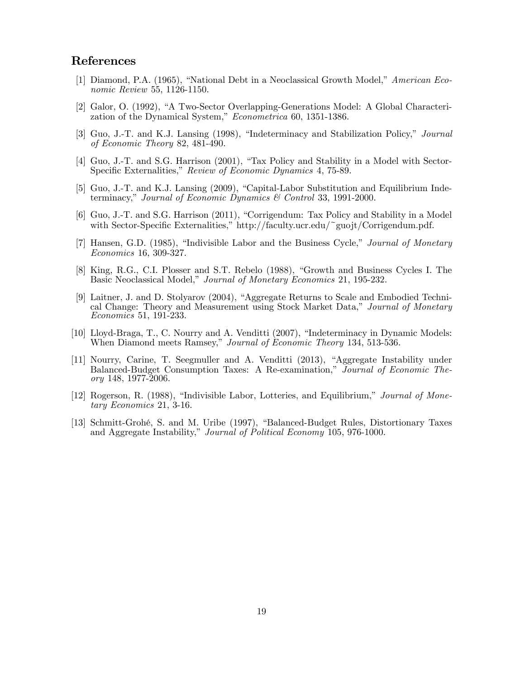## References

- [1] Diamond, P.A. (1965), "National Debt in a Neoclassical Growth Model," American Economic Review 55, 1126-1150.
- [2] Galor, O. (1992), "A Two-Sector Overlapping-Generations Model: A Global Characterization of the Dynamical System," Econometrica 60, 1351-1386.
- [3] Guo, J.-T. and K.J. Lansing (1998), "Indeterminacy and Stabilization Policy," *Journal* of Economic Theory 82, 481-490.
- [4] Guo, J.-T. and S.G. Harrison (2001), "Tax Policy and Stability in a Model with Sector-Specific Externalities," Review of Economic Dynamics 4, 75-89.
- [5] Guo, J.-T. and K.J. Lansing (2009), "Capital-Labor Substitution and Equilibrium Indeterminacy," Journal of Economic Dynamics  $\mathcal C$  Control 33, 1991-2000.
- [6] Guo, J.-T. and S.G. Harrison (2011), "Corrigendum: Tax Policy and Stability in a Model with Sector-Specific Externalities," http://faculty.ucr.edu/~guojt/Corrigendum.pdf.
- [7] Hansen, G.D. (1985), "Indivisible Labor and the Business Cycle," Journal of Monetary Economics 16, 309-327.
- [8] King, R.G., C.I. Plosser and S.T. Rebelo (1988), "Growth and Business Cycles I. The Basic Neoclassical Model," Journal of Monetary Economics 21, 195-232.
- [9] Laitner, J. and D. Stolyarov (2004), "Aggregate Returns to Scale and Embodied Technical Change: Theory and Measurement using Stock Market Data," Journal of Monetary Economics 51, 191-233.
- [10] Lloyd-Braga, T., C. Nourry and A. Venditti (2007), "Indeterminacy in Dynamic Models: When Diamond meets Ramsey," Journal of Economic Theory 134, 513-536.
- [11] Nourry, Carine, T. Seegmuller and A. Venditti (2013), "Aggregate Instability under Balanced-Budget Consumption Taxes: A Re-examination," Journal of Economic Theory 148, 1977-2006.
- [12] Rogerson, R. (1988), "Indivisible Labor, Lotteries, and Equilibrium," *Journal of Mone*tary Economics 21, 3-16.
- [13] Schmitt-Grohé, S. and M. Uribe (1997), "Balanced-Budget Rules, Distortionary Taxes and Aggregate Instability," Journal of Political Economy 105, 976-1000.